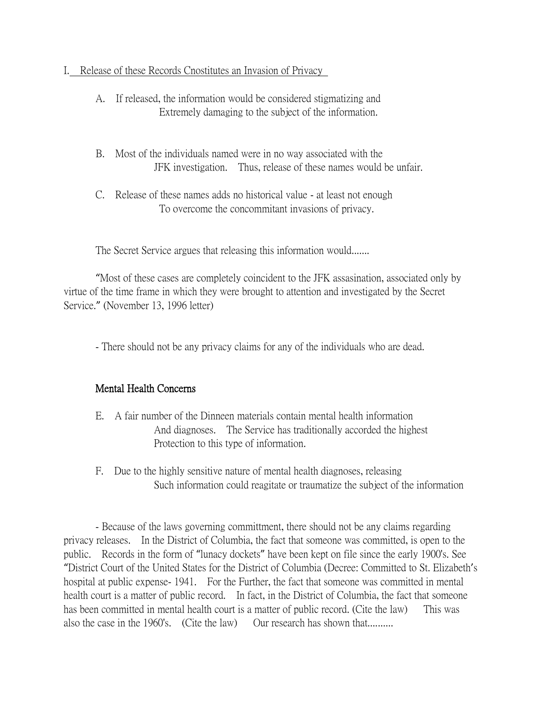## I. Release of these Records Cnostitutes an Invasion of Privacy

- A. If released, the information would be considered stigmatizing and Extremely damaging to the subject of the information.
- B. Most of the individuals named were in no way associated with the JFK investigation. Thus, release of these names would be unfair.
- C. Release of these names adds no historical value at least not enough To overcome the concommitant invasions of privacy.

The Secret Service argues that releasing this information would.......

"Most of these cases are completely coincident to the JFK assasination, associated only by virtue of the time frame in which they were brought to attention and investigated by the Secret Service." (November 13, 1996 letter)

- There should not be any privacy claims for any of the individuals who are dead.

## Mental Health Concerns

- E. A fair number of the Dinneen materials contain mental health information And diagnoses. The Service has traditionally accorded the highest Protection to this type of information.
- F. Due to the highly sensitive nature of mental health diagnoses, releasing Such information could reagitate or traumatize the subject of the information

- Because of the laws governing committment, there should not be any claims regarding privacy releases. In the District of Columbia, the fact that someone was committed, is open to the public. Records in the form of "lunacy dockets" have been kept on file since the early 1900's. See "District Court of the United States for the District of Columbia (Decree: Committed to St. Elizabeth's hospital at public expense- 1941. For the Further, the fact that someone was committed in mental health court is a matter of public record. In fact, in the District of Columbia, the fact that someone has been committed in mental health court is a matter of public record. (Cite the law) This was also the case in the 1960's. (Cite the law) Our research has shown that.........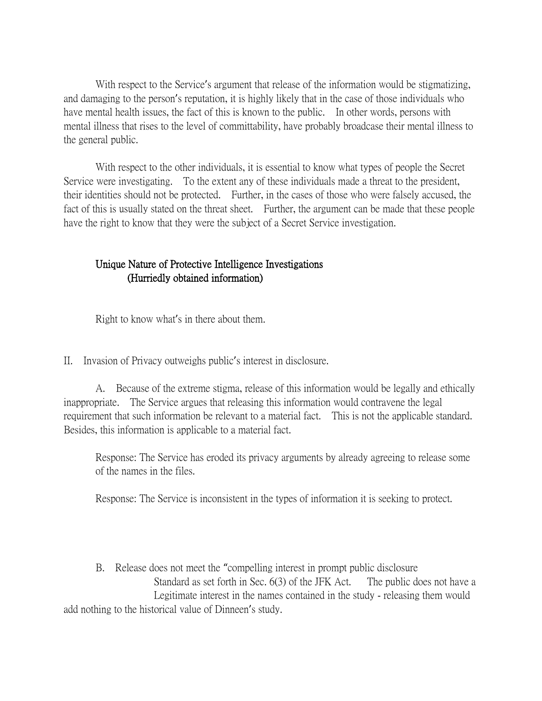With respect to the Service's argument that release of the information would be stigmatizing, and damaging to the person's reputation, it is highly likely that in the case of those individuals who have mental health issues, the fact of this is known to the public. In other words, persons with mental illness that rises to the level of committability, have probably broadcase their mental illness to the general public.

With respect to the other individuals, it is essential to know what types of people the Secret Service were investigating. To the extent any of these individuals made a threat to the president, their identities should not be protected. Further, in the cases of those who were falsely accused, the fact of this is usually stated on the threat sheet. Further, the argument can be made that these people have the right to know that they were the subject of a Secret Service investigation.

## Unique Nature of Protective Intelligence Investigations (Hurriedly obtained information)

Right to know what's in there about them.

II. Invasion of Privacy outweighs public's interest in disclosure.

A. Because of the extreme stigma, release of this information would be legally and ethically inappropriate. The Service argues that releasing this information would contravene the legal requirement that such information be relevant to a material fact. This is not the applicable standard. Besides, this information is applicable to a material fact.

Response: The Service has eroded its privacy arguments by already agreeing to release some of the names in the files.

Response: The Service is inconsistent in the types of information it is seeking to protect.

B. Release does not meet the "compelling interest in prompt public disclosure Standard as set forth in Sec. 6(3) of the JFK Act. The public does not have a Legitimate interest in the names contained in the study - releasing them would add nothing to the historical value of Dinneen's study.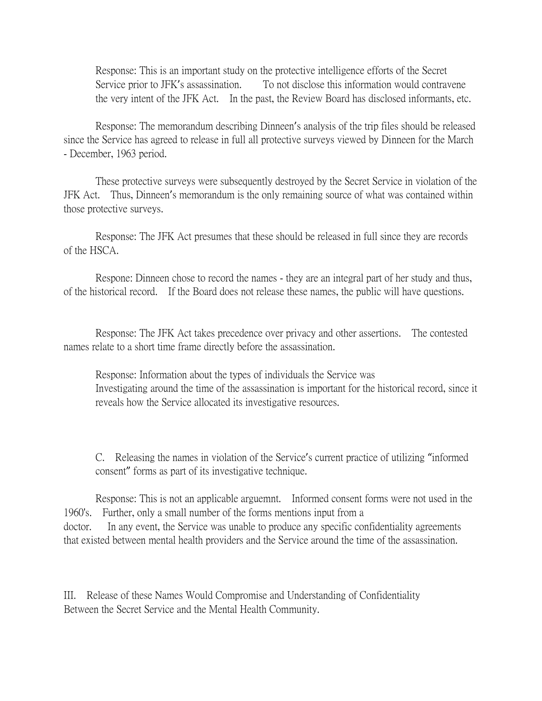Response: This is an important study on the protective intelligence efforts of the Secret Service prior to JFK's assassination. To not disclose this information would contravene the very intent of the JFK Act. In the past, the Review Board has disclosed informants, etc.

Response: The memorandum describing Dinneen's analysis of the trip files should be released since the Service has agreed to release in full all protective surveys viewed by Dinneen for the March - December, 1963 period.

These protective surveys were subsequently destroyed by the Secret Service in violation of the JFK Act. Thus, Dinneen's memorandum is the only remaining source of what was contained within those protective surveys.

Response: The JFK Act presumes that these should be released in full since they are records of the HSCA.

Respone: Dinneen chose to record the names - they are an integral part of her study and thus, of the historical record. If the Board does not release these names, the public will have questions.

Response: The JFK Act takes precedence over privacy and other assertions. The contested names relate to a short time frame directly before the assassination.

Response: Information about the types of individuals the Service was Investigating around the time of the assassination is important for the historical record, since it reveals how the Service allocated its investigative resources.

C. Releasing the names in violation of the Service's current practice of utilizing "informed consent" forms as part of its investigative technique.

Response: This is not an applicable arguemnt. Informed consent forms were not used in the 1960's. Further, only a small number of the forms mentions input from a doctor. In any event, the Service was unable to produce any specific confidentiality agreements that existed between mental health providers and the Service around the time of the assassination.

III. Release of these Names Would Compromise and Understanding of Confidentiality Between the Secret Service and the Mental Health Community.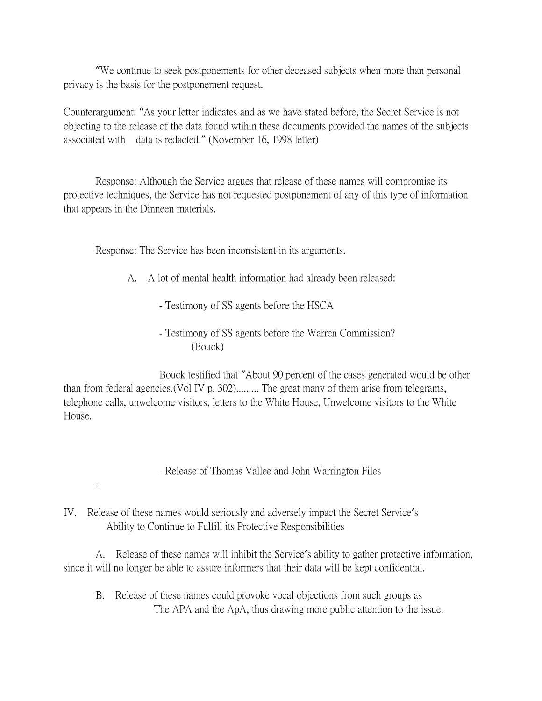"We continue to seek postponements for other deceased subjects when more than personal privacy is the basis for the postponement request.

Counterargument: "As your letter indicates and as we have stated before, the Secret Service is not objecting to the release of the data found wtihin these documents provided the names of the subjects associated with data is redacted." (November 16, 1998 letter)

Response: Although the Service argues that release of these names will compromise its protective techniques, the Service has not requested postponement of any of this type of information that appears in the Dinneen materials.

Response: The Service has been inconsistent in its arguments.

- A. A lot of mental health information had already been released:
	- Testimony of SS agents before the HSCA
	- Testimony of SS agents before the Warren Commission? (Bouck)

Bouck testified that "About 90 percent of the cases generated would be other than from federal agencies.(Vol IV p. 302)......... The great many of them arise from telegrams, telephone calls, unwelcome visitors, letters to the White House, Unwelcome visitors to the White House.

- Release of Thomas Vallee and John Warrington Files

## IV. Release of these names would seriously and adversely impact the Secret Service's Ability to Continue to Fulfill its Protective Responsibilities

-

A. Release of these names will inhibit the Service's ability to gather protective information, since it will no longer be able to assure informers that their data will be kept confidential.

B. Release of these names could provoke vocal objections from such groups as The APA and the ApA, thus drawing more public attention to the issue.